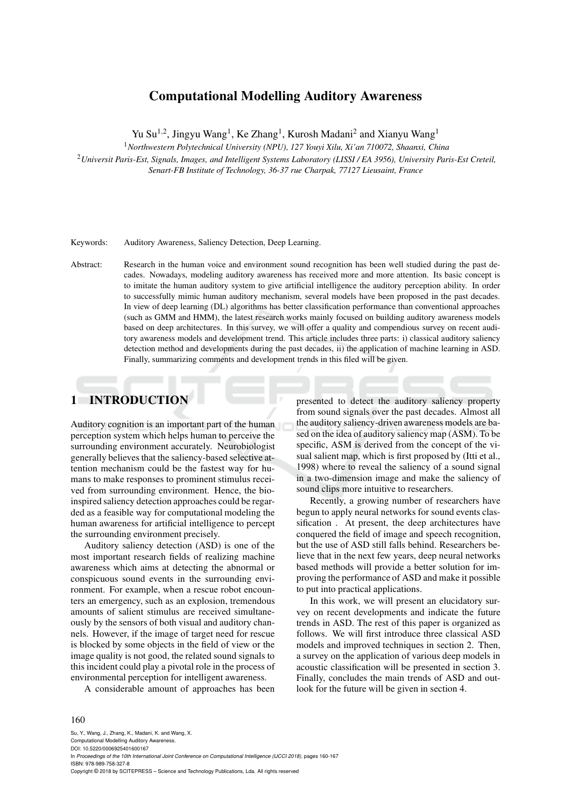## **Computational Modelling Auditory Awareness**

Yu Su<sup>1,2</sup>, Jingyu Wang<sup>1</sup>, Ke Zhang<sup>1</sup>, Kurosh Madani<sup>2</sup> and Xianyu Wang<sup>1</sup>

<sup>1</sup>*Northwestern Polytechnical University (NPU), 127 Youyi Xilu, Xi'an 710072, Shaanxi, China*

<sup>2</sup>*Universit Paris-Est, Signals, Images, and Intelligent Systems Laboratory (LISSI / EA 3956), University Paris-Est Creteil, Senart-FB Institute of Technology, 36-37 rue Charpak, 77127 Lieusaint, France*

Keywords: Auditory Awareness, Saliency Detection, Deep Learning.

Abstract: Research in the human voice and environment sound recognition has been well studied during the past decades. Nowadays, modeling auditory awareness has received more and more attention. Its basic concept is to imitate the human auditory system to give artificial intelligence the auditory perception ability. In order to successfully mimic human auditory mechanism, several models have been proposed in the past decades. In view of deep learning (DL) algorithms has better classification performance than conventional approaches (such as GMM and HMM), the latest research works mainly focused on building auditory awareness models based on deep architectures. In this survey, we will offer a quality and compendious survey on recent auditory awareness models and development trend. This article includes three parts: i) classical auditory saliency detection method and developments during the past decades, ii) the application of machine learning in ASD. Finally, summarizing comments and development trends in this filed will be given.

## **1 INTRODUCTION**

Auditory cognition is an important part of the human perception system which helps human to perceive the surrounding environment accurately. Neurobiologist generally believes that the saliency-based selective attention mechanism could be the fastest way for humans to make responses to prominent stimulus received from surrounding environment. Hence, the bioinspired saliency detection approaches could be regarded as a feasible way for computational modeling the human awareness for artificial intelligence to percept the surrounding environment precisely.

Auditory saliency detection (ASD) is one of the most important research fields of realizing machine awareness which aims at detecting the abnormal or conspicuous sound events in the surrounding environment. For example, when a rescue robot encounters an emergency, such as an explosion, tremendous amounts of salient stimulus are received simultaneously by the sensors of both visual and auditory channels. However, if the image of target need for rescue is blocked by some objects in the field of view or the image quality is not good, the related sound signals to this incident could play a pivotal role in the process of environmental perception for intelligent awareness.

A considerable amount of approaches has been

presented to detect the auditory saliency property from sound signals over the past decades. Almost all the auditory saliency-driven awareness models are based on the idea of auditory saliency map (ASM). To be specific, ASM is derived from the concept of the visual salient map, which is first proposed by (Itti et al., 1998) where to reveal the saliency of a sound signal in a two-dimension image and make the saliency of sound clips more intuitive to researchers.

Recently, a growing number of researchers have begun to apply neural networks for sound events classification . At present, the deep architectures have conquered the field of image and speech recognition, but the use of ASD still falls behind. Researchers believe that in the next few years, deep neural networks based methods will provide a better solution for improving the performance of ASD and make it possible to put into practical applications.

In this work, we will present an elucidatory survey on recent developments and indicate the future trends in ASD. The rest of this paper is organized as follows. We will first introduce three classical ASD models and improved techniques in section 2. Then, a survey on the application of various deep models in acoustic classification will be presented in section 3. Finally, concludes the main trends of ASD and outlook for the future will be given in section 4.

#### 160

Su, Y., Wang, J., Zhang, K., Madani, K. and Wang, X.

Computational Modelling Auditory Awareness. DOI: 10.5220/0006925401600167 In *Proceedings of the 10th International Joint Conference on Computational Intelligence (IJCCI 2018)*, pages 160-167 ISBN: 978-989-758-327-8 Copyright © 2018 by SCITEPRESS – Science and Technology Publications, Lda. All rights reserved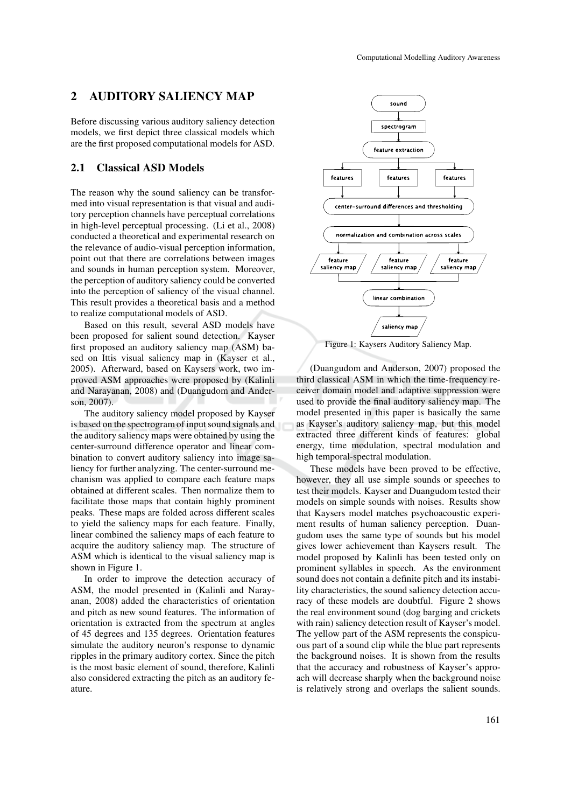## **2 AUDITORY SALIENCY MAP**

Before discussing various auditory saliency detection models, we first depict three classical models which are the first proposed computational models for ASD.

### **2.1 Classical ASD Models**

The reason why the sound saliency can be transformed into visual representation is that visual and auditory perception channels have perceptual correlations in high-level perceptual processing. (Li et al., 2008) conducted a theoretical and experimental research on the relevance of audio-visual perception information, point out that there are correlations between images and sounds in human perception system. Moreover, the perception of auditory saliency could be converted into the perception of saliency of the visual channel. This result provides a theoretical basis and a method to realize computational models of ASD.

Based on this result, several ASD models have been proposed for salient sound detection. Kayser first proposed an auditory saliency map (ASM) based on Ittis visual saliency map in (Kayser et al., 2005). Afterward, based on Kaysers work, two improved ASM approaches were proposed by (Kalinli and Narayanan, 2008) and (Duangudom and Anderson, 2007).

The auditory saliency model proposed by Kayser is based on the spectrogram of input sound signals and the auditory saliency maps were obtained by using the center-surround difference operator and linear combination to convert auditory saliency into image saliency for further analyzing. The center-surround mechanism was applied to compare each feature maps obtained at different scales. Then normalize them to facilitate those maps that contain highly prominent peaks. These maps are folded across different scales to yield the saliency maps for each feature. Finally, linear combined the saliency maps of each feature to acquire the auditory saliency map. The structure of ASM which is identical to the visual saliency map is shown in Figure 1.

In order to improve the detection accuracy of ASM, the model presented in (Kalinli and Narayanan, 2008) added the characteristics of orientation and pitch as new sound features. The information of orientation is extracted from the spectrum at angles of 45 degrees and 135 degrees. Orientation features simulate the auditory neuron's response to dynamic ripples in the primary auditory cortex. Since the pitch is the most basic element of sound, therefore, Kalinli also considered extracting the pitch as an auditory feature.



Figure 1: Kaysers Auditory Saliency Map.

(Duangudom and Anderson, 2007) proposed the third classical ASM in which the time-frequency receiver domain model and adaptive suppression were used to provide the final auditory saliency map. The model presented in this paper is basically the same as Kayser's auditory saliency map, but this model extracted three different kinds of features: global energy, time modulation, spectral modulation and high temporal-spectral modulation.

These models have been proved to be effective, however, they all use simple sounds or speeches to test their models. Kayser and Duangudom tested their models on simple sounds with noises. Results show that Kaysers model matches psychoacoustic experiment results of human saliency perception. Duangudom uses the same type of sounds but his model gives lower achievement than Kaysers result. The model proposed by Kalinli has been tested only on prominent syllables in speech. As the environment sound does not contain a definite pitch and its instability characteristics, the sound saliency detection accuracy of these models are doubtful. Figure 2 shows the real environment sound (dog barging and crickets with rain) saliency detection result of Kayser's model. The yellow part of the ASM represents the conspicuous part of a sound clip while the blue part represents the background noises. It is shown from the results that the accuracy and robustness of Kayser's approach will decrease sharply when the background noise is relatively strong and overlaps the salient sounds.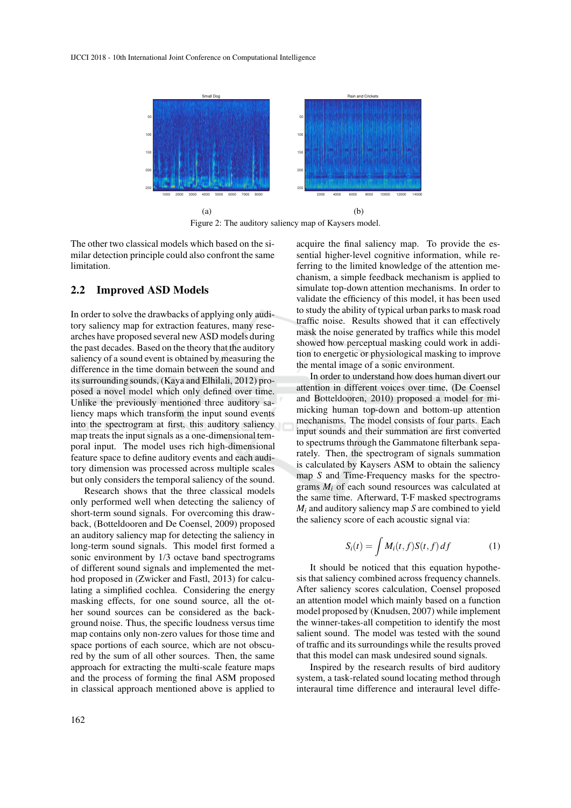

Figure 2: The auditory saliency map of Kaysers model.

The other two classical models which based on the similar detection principle could also confront the same limitation.

### **2.2 Improved ASD Models**

In order to solve the drawbacks of applying only auditory saliency map for extraction features, many researches have proposed several new ASD models during the past decades. Based on the theory that the auditory saliency of a sound event is obtained by measuring the difference in the time domain between the sound and its surrounding sounds, (Kaya and Elhilali, 2012) proposed a novel model which only defined over time. Unlike the previously mentioned three auditory saliency maps which transform the input sound events into the spectrogram at first, this auditory saliency map treats the input signals as a one-dimensional temporal input. The model uses rich high-dimensional feature space to define auditory events and each auditory dimension was processed across multiple scales but only considers the temporal saliency of the sound.

Research shows that the three classical models only performed well when detecting the saliency of short-term sound signals. For overcoming this drawback, (Botteldooren and De Coensel, 2009) proposed an auditory saliency map for detecting the saliency in long-term sound signals. This model first formed a sonic environment by 1/3 octave band spectrograms of different sound signals and implemented the method proposed in (Zwicker and Fastl, 2013) for calculating a simplified cochlea. Considering the energy masking effects, for one sound source, all the other sound sources can be considered as the background noise. Thus, the specific loudness versus time map contains only non-zero values for those time and space portions of each source, which are not obscured by the sum of all other sources. Then, the same approach for extracting the multi-scale feature maps and the process of forming the final ASM proposed in classical approach mentioned above is applied to acquire the final saliency map. To provide the essential higher-level cognitive information, while referring to the limited knowledge of the attention mechanism, a simple feedback mechanism is applied to simulate top-down attention mechanisms. In order to validate the efficiency of this model, it has been used to study the ability of typical urban parks to mask road traffic noise. Results showed that it can effectively mask the noise generated by traffics while this model showed how perceptual masking could work in addition to energetic or physiological masking to improve the mental image of a sonic environment.

In order to understand how does human divert our attention in different voices over time, (De Coensel and Botteldooren, 2010) proposed a model for mimicking human top-down and bottom-up attention mechanisms. The model consists of four parts. Each input sounds and their summation are first converted to spectrums through the Gammatone filterbank separately. Then, the spectrogram of signals summation is calculated by Kaysers ASM to obtain the saliency map *S* and Time-Frequency masks for the spectrograms *M<sup>i</sup>* of each sound resources was calculated at the same time. Afterward, T-F masked spectrograms *M<sup>i</sup>* and auditory saliency map *S* are combined to yield the saliency score of each acoustic signal via:

$$
S_i(t) = \int M_i(t, f) S(t, f) df \tag{1}
$$

It should be noticed that this equation hypothesis that saliency combined across frequency channels. After saliency scores calculation, Coensel proposed an attention model which mainly based on a function model proposed by (Knudsen, 2007) while implement the winner-takes-all competition to identify the most salient sound. The model was tested with the sound of traffic and its surroundings while the results proved that this model can mask undesired sound signals.

Inspired by the research results of bird auditory system, a task-related sound locating method through interaural time difference and interaural level diffe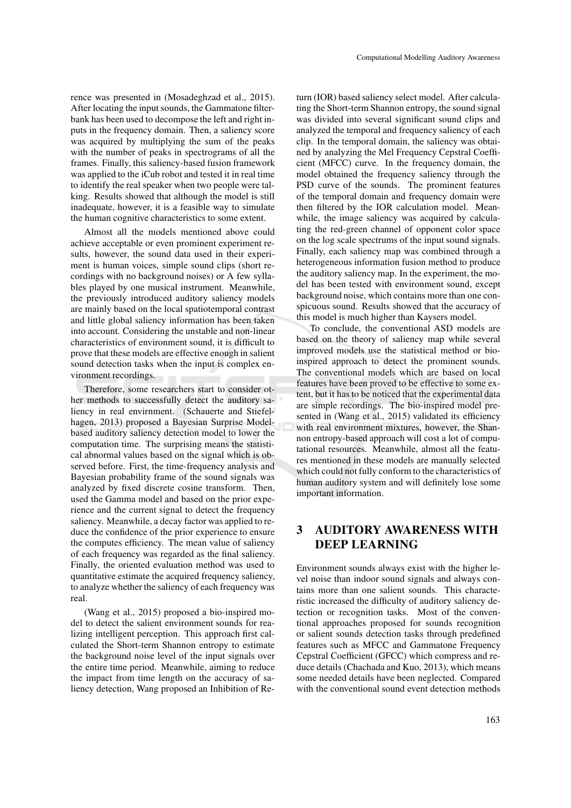rence was presented in (Mosadeghzad et al., 2015). After locating the input sounds, the Gammatone filterbank has been used to decompose the left and right inputs in the frequency domain. Then, a saliency score was acquired by multiplying the sum of the peaks with the number of peaks in spectrograms of all the frames. Finally, this saliency-based fusion framework was applied to the iCub robot and tested it in real time to identify the real speaker when two people were talking. Results showed that although the model is still inadequate, however, it is a feasible way to simulate the human cognitive characteristics to some extent.

Almost all the models mentioned above could achieve acceptable or even prominent experiment results, however, the sound data used in their experiment is human voices, simple sound clips (short recordings with no background noises) or A few syllables played by one musical instrument. Meanwhile, the previously introduced auditory saliency models are mainly based on the local spatiotemporal contrast and little global saliency information has been taken into account. Considering the unstable and non-linear characteristics of environment sound, it is difficult to prove that these models are effective enough in salient sound detection tasks when the input is complex environment recordings.

Therefore, some researchers start to consider other methods to successfully detect the auditory saliency in real envirnment. (Schauerte and Stiefelhagen, 2013) proposed a Bayesian Surprise Modelbased auditory saliency detection model to lower the computation time. The surprising means the statistical abnormal values based on the signal which is observed before. First, the time-frequency analysis and Bayesian probability frame of the sound signals was analyzed by fixed discrete cosine transform. Then, used the Gamma model and based on the prior experience and the current signal to detect the frequency saliency. Meanwhile, a decay factor was applied to reduce the confidence of the prior experience to ensure the computes efficiency. The mean value of saliency of each frequency was regarded as the final saliency. Finally, the oriented evaluation method was used to quantitative estimate the acquired frequency saliency, to analyze whether the saliency of each frequency was real.

(Wang et al., 2015) proposed a bio-inspired model to detect the salient environment sounds for realizing intelligent perception. This approach first calculated the Short-term Shannon entropy to estimate the background noise level of the input signals over the entire time period. Meanwhile, aiming to reduce the impact from time length on the accuracy of saliency detection, Wang proposed an Inhibition of Re-

turn (IOR) based saliency select model. After calculating the Short-term Shannon entropy, the sound signal was divided into several significant sound clips and analyzed the temporal and frequency saliency of each clip. In the temporal domain, the saliency was obtained by analyzing the Mel Frequency Cepstral Coefficient (MFCC) curve. In the frequency domain, the model obtained the frequency saliency through the PSD curve of the sounds. The prominent features of the temporal domain and frequency domain were then filtered by the IOR calculation model. Meanwhile, the image saliency was acquired by calculating the red-green channel of opponent color space on the log scale spectrums of the input sound signals. Finally, each saliency map was combined through a heterogeneous information fusion method to produce the auditory saliency map. In the experiment, the model has been tested with environment sound, except background noise, which contains more than one conspicuous sound. Results showed that the accuracy of this model is much higher than Kaysers model.

To conclude, the conventional ASD models are based on the theory of saliency map while several improved models use the statistical method or bioinspired approach to detect the prominent sounds. The conventional models which are based on local features have been proved to be effective to some extent, but it has to be noticed that the experimental data are simple recordings. The bio-inspired model presented in (Wang et al., 2015) validated its efficiency with real environment mixtures, however, the Shannon entropy-based approach will cost a lot of computational resources. Meanwhile, almost all the features mentioned in these models are manually selected which could not fully conform to the characteristics of human auditory system and will definitely lose some important information.

# **3 AUDITORY AWARENESS WITH DEEP LEARNING**

Environment sounds always exist with the higher level noise than indoor sound signals and always contains more than one salient sounds. This characteristic increased the difficulty of auditory saliency detection or recognition tasks. Most of the conventional approaches proposed for sounds recognition or salient sounds detection tasks through predefined features such as MFCC and Gammatone Frequency Cepstral Coefficient (GFCC) which compress and reduce details (Chachada and Kuo, 2013), which means some needed details have been neglected. Compared with the conventional sound event detection methods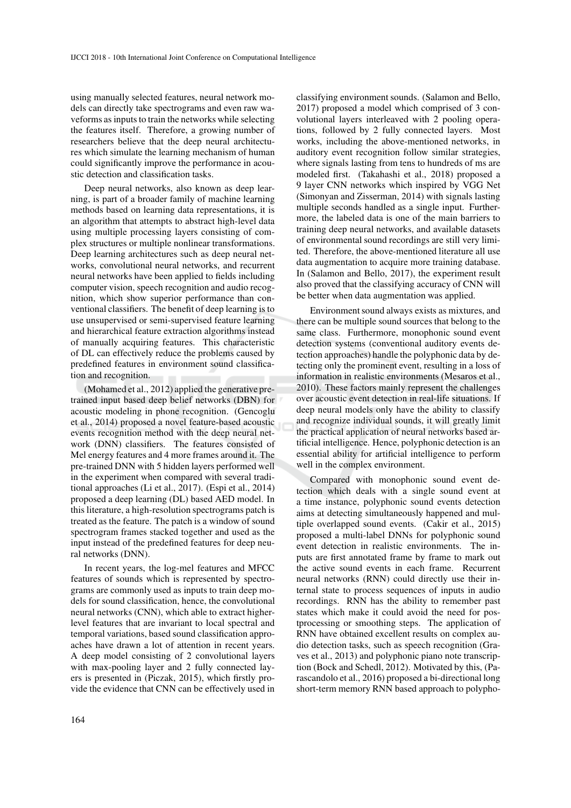using manually selected features, neural network models can directly take spectrograms and even raw waveforms as inputs to train the networks while selecting the features itself. Therefore, a growing number of researchers believe that the deep neural architectures which simulate the learning mechanism of human could significantly improve the performance in acoustic detection and classification tasks.

Deep neural networks, also known as deep learning, is part of a broader family of machine learning methods based on learning data representations, it is an algorithm that attempts to abstract high-level data using multiple processing layers consisting of complex structures or multiple nonlinear transformations. Deep learning architectures such as deep neural networks, convolutional neural networks, and recurrent neural networks have been applied to fields including computer vision, speech recognition and audio recognition, which show superior performance than conventional classifiers. The benefit of deep learning is to use unsupervised or semi-supervised feature learning and hierarchical feature extraction algorithms instead of manually acquiring features. This characteristic of DL can effectively reduce the problems caused by predefined features in environment sound classification and recognition.

(Mohamed et al., 2012) applied the generative pretrained input based deep belief networks (DBN) for acoustic modeling in phone recognition. (Gencoglu et al., 2014) proposed a novel feature-based acoustic events recognition method with the deep neural network (DNN) classifiers. The features consisted of Mel energy features and 4 more frames around it. The pre-trained DNN with 5 hidden layers performed well in the experiment when compared with several traditional approaches (Li et al., 2017). (Espi et al., 2014) proposed a deep learning (DL) based AED model. In this literature, a high-resolution spectrograms patch is treated as the feature. The patch is a window of sound spectrogram frames stacked together and used as the input instead of the predefined features for deep neural networks (DNN).

In recent years, the log-mel features and MFCC features of sounds which is represented by spectrograms are commonly used as inputs to train deep models for sound classification, hence, the convolutional neural networks (CNN), which able to extract higherlevel features that are invariant to local spectral and temporal variations, based sound classification approaches have drawn a lot of attention in recent years. A deep model consisting of 2 convolutional layers with max-pooling layer and 2 fully connected layers is presented in (Piczak, 2015), which firstly provide the evidence that CNN can be effectively used in classifying environment sounds. (Salamon and Bello, 2017) proposed a model which comprised of 3 convolutional layers interleaved with 2 pooling operations, followed by 2 fully connected layers. Most works, including the above-mentioned networks, in auditory event recognition follow similar strategies, where signals lasting from tens to hundreds of ms are modeled first. (Takahashi et al., 2018) proposed a 9 layer CNN networks which inspired by VGG Net (Simonyan and Zisserman, 2014) with signals lasting multiple seconds handled as a single input. Furthermore, the labeled data is one of the main barriers to training deep neural networks, and available datasets of environmental sound recordings are still very limited. Therefore, the above-mentioned literature all use data augmentation to acquire more training database. In (Salamon and Bello, 2017), the experiment result also proved that the classifying accuracy of CNN will be better when data augmentation was applied.

Environment sound always exists as mixtures, and there can be multiple sound sources that belong to the same class. Furthermore, monophonic sound event detection systems (conventional auditory events detection approaches) handle the polyphonic data by detecting only the prominent event, resulting in a loss of information in realistic environments (Mesaros et al., 2010). These factors mainly represent the challenges over acoustic event detection in real-life situations. If deep neural models only have the ability to classify and recognize individual sounds, it will greatly limit the practical application of neural networks based artificial intelligence. Hence, polyphonic detection is an essential ability for artificial intelligence to perform well in the complex environment.

Compared with monophonic sound event detection which deals with a single sound event at a time instance, polyphonic sound events detection aims at detecting simultaneously happened and multiple overlapped sound events. (Cakir et al., 2015) proposed a multi-label DNNs for polyphonic sound event detection in realistic environments. The inputs are first annotated frame by frame to mark out the active sound events in each frame. Recurrent neural networks (RNN) could directly use their internal state to process sequences of inputs in audio recordings. RNN has the ability to remember past states which make it could avoid the need for postprocessing or smoothing steps. The application of RNN have obtained excellent results on complex audio detection tasks, such as speech recognition (Graves et al., 2013) and polyphonic piano note transcription (Bock and Schedl, 2012). Motivated by this, (Parascandolo et al., 2016) proposed a bi-directional long short-term memory RNN based approach to polypho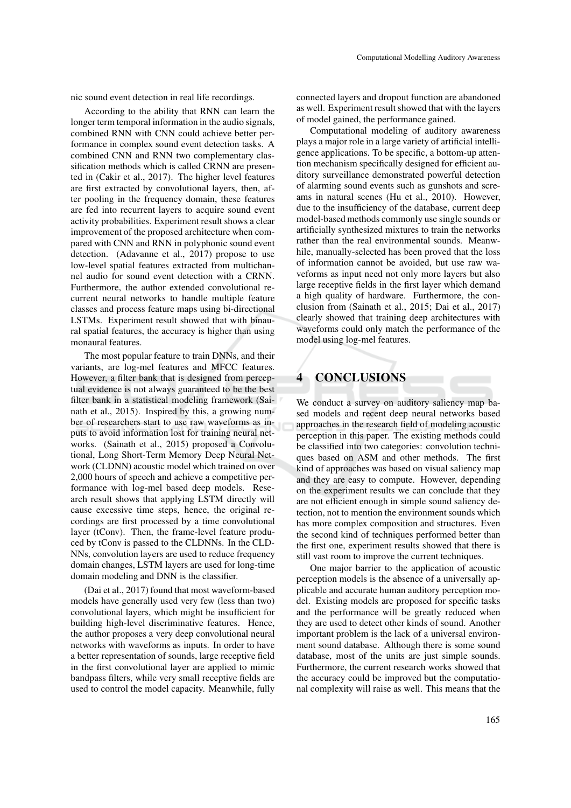nic sound event detection in real life recordings.

According to the ability that RNN can learn the longer term temporal information in the audio signals, combined RNN with CNN could achieve better performance in complex sound event detection tasks. A combined CNN and RNN two complementary classification methods which is called CRNN are presented in (Cakir et al., 2017). The higher level features are first extracted by convolutional layers, then, after pooling in the frequency domain, these features are fed into recurrent layers to acquire sound event activity probabilities. Experiment result shows a clear improvement of the proposed architecture when compared with CNN and RNN in polyphonic sound event detection. (Adavanne et al., 2017) propose to use low-level spatial features extracted from multichannel audio for sound event detection with a CRNN. Furthermore, the author extended convolutional recurrent neural networks to handle multiple feature classes and process feature maps using bi-directional LSTMs. Experiment result showed that with binaural spatial features, the accuracy is higher than using monaural features.

The most popular feature to train DNNs, and their variants, are log-mel features and MFCC features. However, a filter bank that is designed from perceptual evidence is not always guaranteed to be the best filter bank in a statistical modeling framework (Sainath et al., 2015). Inspired by this, a growing number of researchers start to use raw waveforms as inputs to avoid information lost for training neural networks. (Sainath et al., 2015) proposed a Convolutional, Long Short-Term Memory Deep Neural Network (CLDNN) acoustic model which trained on over 2,000 hours of speech and achieve a competitive performance with log-mel based deep models. Research result shows that applying LSTM directly will cause excessive time steps, hence, the original recordings are first processed by a time convolutional layer (tConv). Then, the frame-level feature produced by tConv is passed to the CLDNNs. In the CLD-NNs, convolution layers are used to reduce frequency domain changes, LSTM layers are used for long-time domain modeling and DNN is the classifier.

(Dai et al., 2017) found that most waveform-based models have generally used very few (less than two) convolutional layers, which might be insufficient for building high-level discriminative features. Hence, the author proposes a very deep convolutional neural networks with waveforms as inputs. In order to have a better representation of sounds, large receptive field in the first convolutional layer are applied to mimic bandpass filters, while very small receptive fields are used to control the model capacity. Meanwhile, fully

connected layers and dropout function are abandoned as well. Experiment result showed that with the layers of model gained, the performance gained.

Computational modeling of auditory awareness plays a major role in a large variety of artificial intelligence applications. To be specific, a bottom-up attention mechanism specifically designed for efficient auditory surveillance demonstrated powerful detection of alarming sound events such as gunshots and screams in natural scenes (Hu et al., 2010). However, due to the insufficiency of the database, current deep model-based methods commonly use single sounds or artificially synthesized mixtures to train the networks rather than the real environmental sounds. Meanwhile, manually-selected has been proved that the loss of information cannot be avoided, but use raw waveforms as input need not only more layers but also large receptive fields in the first layer which demand a high quality of hardware. Furthermore, the conclusion from (Sainath et al., 2015; Dai et al., 2017) clearly showed that training deep architectures with waveforms could only match the performance of the model using log-mel features.

### **4 CONCLUSIONS**

We conduct a survey on auditory saliency map based models and recent deep neural networks based approaches in the research field of modeling acoustic perception in this paper. The existing methods could be classified into two categories: convolution techniques based on ASM and other methods. The first kind of approaches was based on visual saliency map and they are easy to compute. However, depending on the experiment results we can conclude that they are not efficient enough in simple sound saliency detection, not to mention the environment sounds which has more complex composition and structures. Even the second kind of techniques performed better than the first one, experiment results showed that there is still vast room to improve the current techniques.

One major barrier to the application of acoustic perception models is the absence of a universally applicable and accurate human auditory perception model. Existing models are proposed for specific tasks and the performance will be greatly reduced when they are used to detect other kinds of sound. Another important problem is the lack of a universal environment sound database. Although there is some sound database, most of the units are just simple sounds. Furthermore, the current research works showed that the accuracy could be improved but the computational complexity will raise as well. This means that the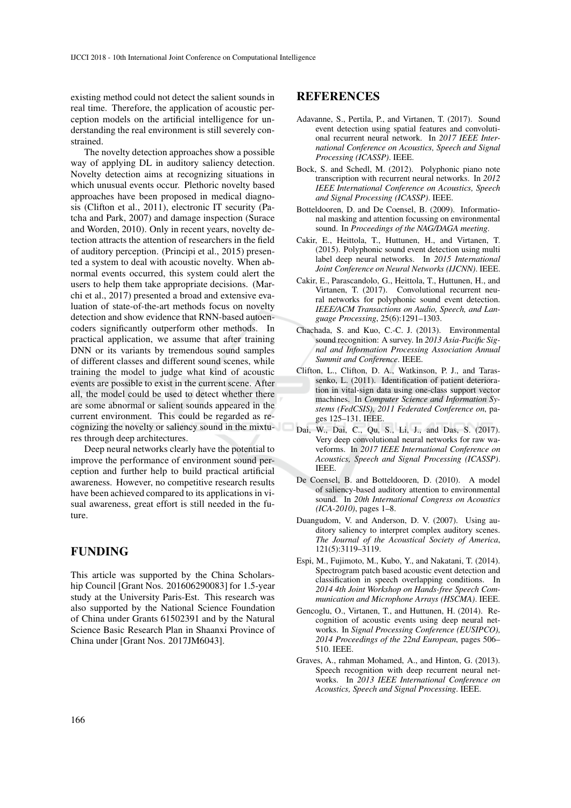existing method could not detect the salient sounds in real time. Therefore, the application of acoustic perception models on the artificial intelligence for understanding the real environment is still severely constrained.

The novelty detection approaches show a possible way of applying DL in auditory saliency detection. Novelty detection aims at recognizing situations in which unusual events occur. Plethoric novelty based approaches have been proposed in medical diagnosis (Clifton et al., 2011), electronic IT security (Patcha and Park, 2007) and damage inspection (Surace and Worden, 2010). Only in recent years, novelty detection attracts the attention of researchers in the field of auditory perception. (Principi et al., 2015) presented a system to deal with acoustic novelty. When abnormal events occurred, this system could alert the users to help them take appropriate decisions. (Marchi et al., 2017) presented a broad and extensive evaluation of state-of-the-art methods focus on novelty detection and show evidence that RNN-based autoencoders significantly outperform other methods. In practical application, we assume that after training DNN or its variants by tremendous sound samples of different classes and different sound scenes, while training the model to judge what kind of acoustic events are possible to exist in the current scene. After all, the model could be used to detect whether there are some abnormal or salient sounds appeared in the current environment. This could be regarded as recognizing the novelty or saliency sound in the mixtures through deep architectures.

Deep neural networks clearly have the potential to improve the performance of environment sound perception and further help to build practical artificial awareness. However, no competitive research results have been achieved compared to its applications in visual awareness, great effort is still needed in the future.

### **FUNDING**

This article was supported by the China Scholarship Council [Grant Nos. 201606290083] for 1.5-year study at the University Paris-Est. This research was also supported by the National Science Foundation of China under Grants 61502391 and by the Natural Science Basic Research Plan in Shaanxi Province of China under [Grant Nos. 2017JM6043].

### **REFERENCES**

- Adavanne, S., Pertila, P., and Virtanen, T. (2017). Sound event detection using spatial features and convolutional recurrent neural network. In *2017 IEEE International Conference on Acoustics, Speech and Signal Processing (ICASSP)*. IEEE.
- Bock, S. and Schedl, M. (2012). Polyphonic piano note transcription with recurrent neural networks. In *2012 IEEE International Conference on Acoustics, Speech and Signal Processing (ICASSP)*. IEEE.
- Botteldooren, D. and De Coensel, B. (2009). Informational masking and attention focussing on environmental sound. In *Proceedings of the NAG/DAGA meeting*.
- Cakir, E., Heittola, T., Huttunen, H., and Virtanen, T. (2015). Polyphonic sound event detection using multi label deep neural networks. In *2015 International Joint Conference on Neural Networks (IJCNN)*. IEEE.
- Cakir, E., Parascandolo, G., Heittola, T., Huttunen, H., and Virtanen, T. (2017). Convolutional recurrent neural networks for polyphonic sound event detection. *IEEE/ACM Transactions on Audio, Speech, and Language Processing*, 25(6):1291–1303.
- Chachada, S. and Kuo, C.-C. J. (2013). Environmental sound recognition: A survey. In *2013 Asia-Pacific Signal and Information Processing Association Annual Summit and Conference*. IEEE.
- Clifton, L., Clifton, D. A., Watkinson, P. J., and Tarassenko, L. (2011). Identification of patient deterioration in vital-sign data using one-class support vector machines. In *Computer Science and Information Systems (FedCSIS), 2011 Federated Conference on*, pages 125–131. IEEE.
- Dai, W., Dai, C., Qu, S., Li, J., and Das, S. (2017). Very deep convolutional neural networks for raw waveforms. In *2017 IEEE International Conference on Acoustics, Speech and Signal Processing (ICASSP)*. IEEE.
- De Coensel, B. and Botteldooren, D. (2010). A model of saliency-based auditory attention to environmental sound. In *20th International Congress on Acoustics (ICA-2010)*, pages 1–8.
- Duangudom, V. and Anderson, D. V. (2007). Using auditory saliency to interpret complex auditory scenes. *The Journal of the Acoustical Society of America*, 121(5):3119–3119.
- Espi, M., Fujimoto, M., Kubo, Y., and Nakatani, T. (2014). Spectrogram patch based acoustic event detection and classification in speech overlapping conditions. In *2014 4th Joint Workshop on Hands-free Speech Communication and Microphone Arrays (HSCMA)*. IEEE.
- Gencoglu, O., Virtanen, T., and Huttunen, H. (2014). Recognition of acoustic events using deep neural networks. In *Signal Processing Conference (EUSIPCO), 2014 Proceedings of the 22nd European*, pages 506– 510. IEEE.
- Graves, A., rahman Mohamed, A., and Hinton, G. (2013). Speech recognition with deep recurrent neural networks. In *2013 IEEE International Conference on Acoustics, Speech and Signal Processing*. IEEE.